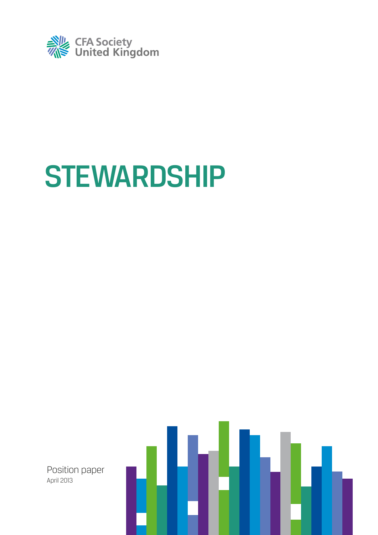

# **STEWARDSHIP**

Position paper April 2013

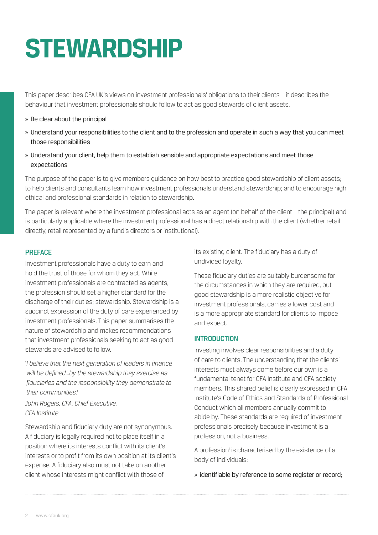# **stewardship**

This paper describes CFA UK's views on investment professionals' obligations to their clients – it describes the behaviour that investment professionals should follow to act as good stewards of client assets.

- » Be clear about the principal
- » Understand your responsibilities to the client and to the profession and operate in such a way that you can meet those responsibilities
- » Understand your client, help them to establish sensible and appropriate expectations and meet those expectations

The purpose of the paper is to give members guidance on how best to practice good stewardship of client assets; to help clients and consultants learn how investment professionals understand stewardship; and to encourage high ethical and professional standards in relation to stewardship.

The paper is relevant where the investment professional acts as an agent (on behalf of the client – the principal) and is particularly applicable where the investment professional has a direct relationship with the client (whether retail directly, retail represented by a fund's directors or institutional).

#### **PREFACE**

Investment professionals have a duty to earn and hold the trust of those for whom they act. While investment professionals are contracted as agents, the profession should set a higher standard for the discharge of their duties; stewardship. Stewardship is a succinct expression of the duty of care experienced by investment professionals. This paper summarises the nature of stewardship and makes recommendations that investment professionals seeking to act as good stewards are advised to follow.

'*I believe that the next generation of leaders in finance will be defined...by the stewardship they exercise as fiduciaries and the responsibility they demonstrate to their communities.*'

*John Rogers, CFA, Chief Executive, CFA Institute*

Stewardship and fiduciary duty are not synonymous. A fiduciary is legally required not to place itself in a position where its interests conflict with its client's interests or to profit from its own position at its client's expense. A fiduciary also must not take on another client whose interests might conflict with those of

its existing client. The fiduciary has a duty of undivided loyalty.

These fiduciary duties are suitably burdensome for the circumstances in which they are required, but good stewardship is a more realistic objective for investment professionals, carries a lower cost and is a more appropriate standard for clients to impose and expect.

### **INTRODUCTION**

Investing involves clear responsibilities and a duty of care to clients. The understanding that the clients' interests must always come before our own is a fundamental tenet for CFA Institute and CFA society members. This shared belief is clearly expressed in CFA Institute's Code of Ethics and Standards of Professional Conduct which all members annually commit to abide by. These standards are required of investment professionals precisely because investment is a profession, not a business.

A profession<sup>1</sup> is characterised by the existence of a body of individuals:

» identifiable by reference to some register or record;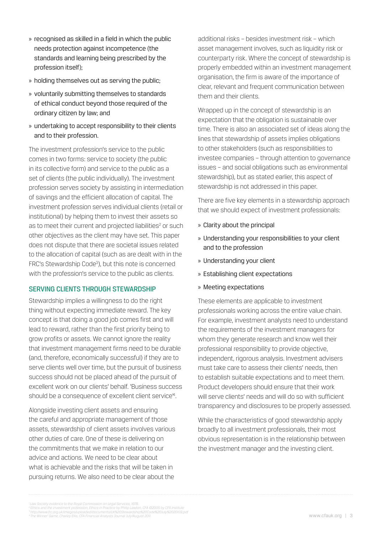- » recognised as skilled in a field in which the public needs protection against incompetence (the standards and learning being prescribed by the profession itself);
- » holding themselves out as serving the public;
- » voluntarily submitting themselves to standards of ethical conduct beyond those required of the ordinary citizen by law; and
- » undertaking to accept responsibility to their clients and to their profession.

The investment profession's service to the public comes in two forms: service to society (the public in its collective form) and service to the public as a set of clients (the public individually). The investment profession serves society by assisting in intermediation of savings and the efficient allocation of capital. The investment profession serves individual clients (retail or institutional) by helping them to invest their assets so as to meet their current and projected liabilities<sup>2</sup> or such other objectives as the client may have set. This paper does not dispute that there are societal issues related to the allocation of capital (such as are dealt with in the FRC's Stewardship Code<sup>3</sup>), but this note is concerned with the profession's service to the public as clients.

#### Serving clients through stewardship

Stewardship implies a willingness to do the right thing without expecting immediate reward. The key concept is that doing a good job comes first and will lead to reward, rather than the first priority being to grow profits or assets. We cannot ignore the reality that investment management firms need to be durable (and, therefore, economically successful) if they are to serve clients well over time, but the pursuit of business success should not be placed ahead of the pursuit of excellent work on our clients' behalf. 'Business success should be a consequence of excellent client service<sup>4</sup>.

Alongside investing client assets and ensuring the careful and appropriate management of those assets, stewardship of client assets involves various other duties of care. One of these is delivering on the commitments that we make in relation to our advice and actions. We need to be clear about what is achievable and the risks that will be taken in pursuing returns. We also need to be clear about the

additional risks – besides investment risk – which asset management involves, such as liquidity risk or counterparty risk. Where the concept of stewardship is properly embedded within an investment management organisation, the firm is aware of the importance of clear, relevant and frequent communication between them and their clients.

Wrapped up in the concept of stewardship is an expectation that the obligation is sustainable over time. There is also an associated set of ideas along the lines that stewardship of assets implies obligations to other stakeholders (such as responsibilities to investee companies – through attention to governance issues – and social obligations such as environmental stewardship), but as stated earlier, this aspect of stewardship is not addressed in this paper.

There are five key elements in a stewardship approach that we should expect of investment professionals:

- » Clarity about the principal
- » Understanding your responsibilities to your client and to the profession
- » Understanding your client
- » Establishing client expectations
- » Meeting expectations

These elements are applicable to investment professionals working across the entire value chain. For example, investment analysts need to understand the requirements of the investment managers for whom they generate research and know well their professional responsibility to provide objective, independent, rigorous analysis. Investment advisers must take care to assess their clients' needs, then to establish suitable expectations and to meet them. Product developers should ensure that their work will serve clients' needs and will do so with sufficient transparency and disclosures to be properly assessed.

While the characteristics of good stewardship apply broadly to all investment professionals, their most obvious representation is in the relationship between the investment manager and the investing client.

<sup>&#</sup>x27; Law Society evidence to the Royal Commission on Legal Services, 1978.<br><sup>2</sup> Ethics and the investment profession, Ethics in Practice by Philip Lawton, CFA ©2005 by CFA Institute<br><sup>3</sup> http://www.fr.c.org.uk/images/uploaded/d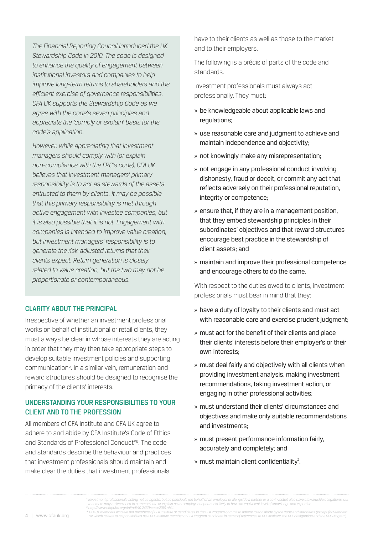*The Financial Reporting Council introduced the UK Stewardship Code in 2010. The code is designed to enhance the quality of engagement between institutional investors and companies to help improve long-term returns to shareholders and the efficient exercise of governance responsibilities. CFA UK supports the Stewardship Code as we agree with the code's seven principles and appreciate the 'comply or explain' basis for the code's application.*

*However, while appreciating that investment managers should comply with (or explain non-compliance with the FRC's code), CFA UK believes that investment managers' primary responsibility is to act as stewards of the assets entrusted to them by clients. It may be possible that this primary responsibility is met through active engagement with investee companies, but it is also possible that it is not. Engagement with companies is intended to improve value creation, but investment managers' responsibility is to generate the risk-adjusted returns that their clients expect. Return generation is closely related to value creation, but the two may not be proportionate or contemporaneous.*

#### Clarity about the principal

Irrespective of whether an investment professional works on behalf of institutional or retail clients, they must always be clear in whose interests they are acting in order that they may then take appropriate steps to develop suitable investment policies and supporting communication<sup>5</sup>. In a similar vein, remuneration and reward structures should be designed to recognise the primacy of the clients' interests.

# Understanding your responsibilities to your client and to the profession

All members of CFA Institute and CFA UK agree to adhere to and abide by CFA Institute's Code of Ethics and Standards of Professional Conduct\*6. The code and standards describe the behaviour and practices that investment professionals should maintain and make clear the duties that investment professionals

have to their clients as well as those to the market and to their employers.

The following is a précis of parts of the code and standards.

Investment professionals must always act professionally. They must:

- » be knowledgeable about applicable laws and regulations;
- » use reasonable care and judgment to achieve and maintain independence and objectivity;
- » not knowingly make any misrepresentation;
- » not engage in any professional conduct involving dishonesty, fraud or deceit, or commit any act that reflects adversely on their professional reputation, integrity or competence;
- » ensure that, if they are in a management position, that they embed stewardship principles in their subordinates' objectives and that reward structures encourage best practice in the stewardship of client assets; and
- » maintain and improve their professional competence and encourage others to do the same.

With respect to the duties owed to clients, investment professionals must bear in mind that they:

- » have a duty of loyalty to their clients and must act with reasonable care and exercise prudent judgment;
- » must act for the benefit of their clients and place their clients' interests before their employer's or their own interests;
- » must deal fairly and objectively with all clients when providing investment analysis, making investment recommendations, taking investment action, or engaging in other professional activities;
- » must understand their clients' circumstances and objectives and make only suitable recommendations and investments;
- » must present performance information fairly, accurately and completely; and
- » must maintain client confidentiality<sup>7</sup>.

that there may be less need to communicate or explain as the employer or partner is likely to have an equivalent level of knowledge and expertise.<br>\* CFA UK www.cfapubs.org/doi/pd/10.2469/ccbv2010.nl4.1.<br>\* CFA UK members wh

<sup>4 |</sup> www.cfauk.org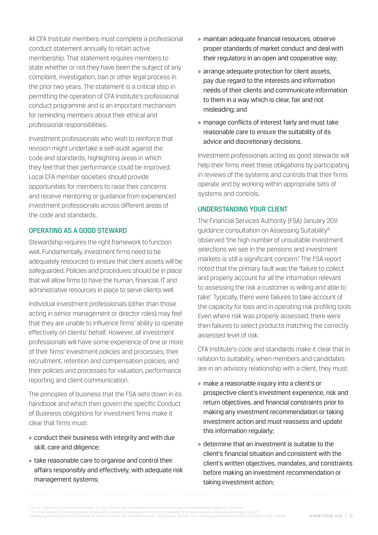All CFA Institute members must complete a professional conduct statement annually to retain active membership. That statement requires members to state whether or not they have been the subject of any complaint, investigation, ban or other legal process in the prior two years. The statement is a critical step in permitting the operation of CFA Institute's professional conduct programme and is an important mechanism for reminding members about their ethical and professional responsibilities.

Investment professionals who wish to reinforce that revision might undertake a self-audit against the code and standards, highlighting areas in which they feel that their performance could be improved. Local CFA member societies should provide opportunities for members to raise their concerns and receive mentoring or guidance from experienced investment professionals across different areas of the code and standards.

#### Operating as a good steward

Stewardship requires the right framework to function well. Fundamentally, investment firms need to be adequately resourced to ensure that client assets will be safeguarded. Policies and procedures should be in place that will allow firms to have the human, financial, IT and administrative resources in place to serve clients well.

Individual investment professionals (other than those acting in senior management or director roles) may feel that they are unable to influence firms' ability to operate effectively on clients' behalf. However, all investment professionals will have some experience of one or more of their firms' investment policies and processes; their recruitment, retention and compensation policies; and their policies and processes for valuation, performance reporting and client communication.

The principles of business that the FSA sets down in its handbook and which then govern the specific Conduct of Business obligations for investment firms make it clear that firms must:

- » conduct their business with integrity and with due skill, care and diligence;
- » take reasonable care to organise and control their affairs responsibly and effectively, with adequate risk management systems;
- » maintain adequate financial resources, observe proper standards of market conduct and deal with their regulators in an open and cooperative way;
- » arrange adequate protection for client assets, pay due regard to the interests and information needs of their clients and communicate information to them in a way which is clear, fair and not misleading; and
- » manage conflicts of interest fairly and must take reasonable care to ensure the suitability of its advice and discretionary decisions.

Investment professionals acting as good stewards will help their firms meet these obligations by participating in reviews of the systems and controls that their firms operate and by working within appropriate sets of systems and controls.

#### Understanding your client

The Financial Services Authority (FSA) January 2011 guidance consultation on Assessing Suitability8 observed 'the high number of unsuitable investment selections we see in the pensions and investment markets is still a significant concern.' The FSA report noted that the primary fault was the 'failure to collect and properly account for all the information relevant to assessing the risk a customer is willing and able to take'. Typically, there were failures to take account of the capacity for loss and in operating risk profiling tools. Even where risk was properly assessed, there were then failures to select products matching the correctly assessed level of risk.

CFA Institute's code and standards make it clear that in relation to suitability, when members and candidates are in an advisory relationship with a client, they must:

- » make a reasonable inquiry into a client's or prospective client's investment experience, risk and return objectives, and financial constraints prior to making any investment recommendation or taking investment action and must reassess and update this information regularly;
- » determine that an investment is suitable to the client's financial situation and consistent with the client's written objectives, mandates, and constraints before making an investment recommendation or taking investment action;

<sup>&</sup>lt;sup>7</sup> This is a précis of the code and standards. To read the full code and standards visit http://www.cfapubs.org/doi/pdf/10.2469/ccbv2010.n14.1.<br>® The Financial Services Authority (FSA) January 2011 guidarior on Assessing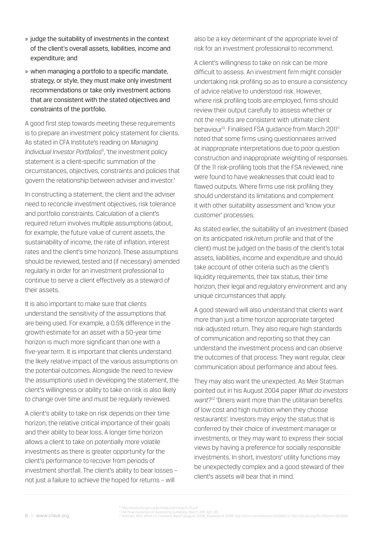- » judge the suitability of investments in the context of the client's overall assets, liabilities, income and expenditure; and
- » when managing a portfolio to a specific mandate, strategy, or style, they must make only investment recommendations or take only investment actions that are consistent with the stated objectives and constraints of the portfolio.

A good first step towards meeting these requirements is to prepare an investment policy statement for clients. As stated in CFA Institute's reading on *Managing Individual Investor Portfolios*<sup>9</sup> , 'the investment policy statement is a client-specific summation of the circumstances, objectives, constraints and policies that govern the relationship between adviser and investor.'

In constructing a statement, the client and the adviser need to reconcile investment objectives, risk tolerance and portfolio constraints. Calculation of a client's required return involves multiple assumptions (about, for example, the future value of current assets, the sustainability of income, the rate of inflation, interest rates and the client's time horizon). These assumptions should be reviewed, tested and (if necessary) amended regularly in order for an investment professional to continue to serve a client effectively as a steward of their assets.

It is also important to make sure that clients understand the sensitivity of the assumptions that are being used. For example, a 0.5% difference in the growth estimate for an asset with a 50-year time horizon is much more significant than one with a five-year term. It is important that clients understand the likely relative impact of the various assumptions on the potential outcomes. Alongside the need to review the assumptions used in developing the statement, the client's willingness or ability to take on risk is also likely to change over time and must be regularly reviewed.

A client's ability to take on risk depends on their time horizon, the relative critical importance of their goals and their ability to bear loss. A longer time horizon allows a client to take on potentially more volatile investments as there is greater opportunity for the client's performance to recover from periods of investment shortfall. The client's ability to bear losses – not just a failure to achieve the hoped for returns – will

also be a key determinant of the appropriate level of risk for an investment professional to recommend.

A client's willingness to take on risk can be more difficult to assess. An investment firm might consider undertaking risk profiling so as to ensure a consistency of advice relative to understood risk. However, where risk profiling tools are employed, firms should review their output carefully to assess whether or not the results are consistent with ultimate client behaviour<sup>10</sup>. Finalised FSA guidance from March 2011<sup>11</sup> noted that some firms using questionnaires arrived at inappropriate interpretations due to poor question construction and inappropriate weighting of responses. Of the 11 risk-profiling tools that the FSA reviewed, nine were found to have weaknesses that could lead to flawed outputs. Where firms use risk profiling they should understand its limitations and complement it with other suitability assessment and 'know your customer' processes.

As stated earlier, the suitability of an investment (based on its anticipated risk/return profile and that of the client) must be judged on the basis of the client's total assets, liabilities, income and expenditure and should take account of other criteria such as the client's liquidity requirements, their tax status, their time horizon, their legal and regulatory environment and any unique circumstances that apply.

A good steward will also understand that clients want more than just a time horizon appropriate targeted risk-adjusted return. They also require high standards of communication and reporting so that they can understand the investment process and can observe the outcomes of that process. They want regular, clear communication about performance and about fees.

They may also want the unexpected. As Meir Statman pointed out in his August 2004 paper *What do investors want?*12 'Diners want more than the utilitarian benefits of low cost and high nutrition when they choose restaurants'. Investors may enjoy the status that is conferred by their choice of investment manager or investments, or they may want to express their social views by having a preference for socially responsible investments. In short, investors' utility functions may be unexpectedly complex and a good steward of their client's assets will bear that in mind.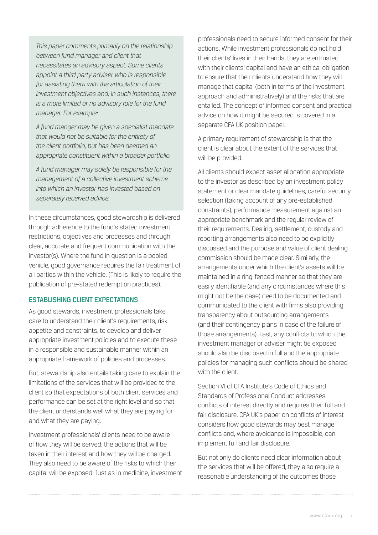*This paper comments primarily on the relationship between fund manager and client that necessitates an advisory aspect. Some clients appoint a third party adviser who is responsible for assisting them with the articulation of their investment objectives and, in such instances, there is a more limited or no advisory role for the fund manager. For example:* 

*A fund manger may be given a specialist mandate that would not be suitable for the entirety of the client portfolio, but has been deemed an appropriate constituent within a broader portfolio.* 

*A fund manager may solely be responsible for the management of a collective investment scheme into which an investor has invested based on separately received advice.*

In these circumstances, good stewardship is delivered through adherence to the fund's stated investment restrictions, objectives and processes and through clear, accurate and frequent communication with the investor(s). Where the fund in question is a pooled vehicle, good governance requires the fair treatment of all parties within the vehicle. (This is likely to require the publication of pre-stated redemption practices).

#### Establishing client expectations

As good stewards, investment professionals take care to understand their client's requirements, risk appetite and constraints, to develop and deliver appropriate investment policies and to execute these in a responsible and sustainable manner within an appropriate framework of policies and processes.

But, stewardship also entails taking care to explain the limitations of the services that will be provided to the client so that expectations of both client services and performance can be set at the right level and so that the client understands well what they are paying for and what they are paying.

Investment professionals' clients need to be aware of how they will be served, the actions that will be taken in their interest and how they will be charged. They also need to be aware of the risks to which their capital will be exposed. Just as in medicine, investment professionals need to secure informed consent for their actions. While investment professionals do not hold their clients' lives in their hands, they are entrusted with their clients' capital and have an ethical obligation to ensure that their clients understand how they will manage that capital (both in terms of the investment approach and administratively) and the risks that are entailed. The concept of informed consent and practical advice on how it might be secured is covered in a separate CFA UK position paper.

A primary requirement of stewardship is that the client is clear about the extent of the services that will be provided.

All clients should expect asset allocation appropriate to the investor as described by an investment policy statement or clear mandate guidelines, careful security selection (taking account of any pre-established constraints), performance measurement against an appropriate benchmark and the regular review of their requirements. Dealing, settlement, custody and reporting arrangements also need to be explicitly discussed and the purpose and value of client dealing commission should be made clear. Similarly, the arrangements under which the client's assets will be maintained in a ring-fenced manner so that they are easily identifiable (and any circumstances where this might not be the case) need to be documented and communicated to the client with firms also providing transparency about outsourcing arrangements (and their contingency plans in case of the failure of those arrangements). Last, any conflicts to which the investment manager or adviser might be exposed should also be disclosed in full and the appropriate policies for managing such conflicts should be shared with the client.

Section VI of CFA Institute's Code of Ethics and Standards of Professional Conduct addresses conflicts of interest directly and requires their full and fair disclosure. CFA UK's paper on conflicts of interest considers how good stewards may best manage conflicts and, where avoidance is impossible, can implement full and fair disclosure.

But not only do clients need clear information about the services that will be offered, they also require a reasonable understanding of the outcomes those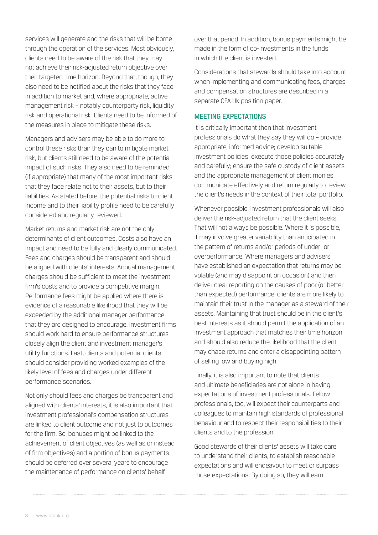services will generate and the risks that will be borne through the operation of the services. Most obviously, clients need to be aware of the risk that they may not achieve their risk-adjusted return objective over their targeted time horizon. Beyond that, though, they also need to be notified about the risks that they face in addition to market and, where appropriate, active management risk – notably counterparty risk, liquidity risk and operational risk. Clients need to be informed of the measures in place to mitigate these risks.

Managers and advisers may be able to do more to control these risks than they can to mitigate market risk, but clients still need to be aware of the potential impact of such risks. They also need to be reminded (if appropriate) that many of the most important risks that they face relate not to their assets, but to their liabilities. As stated before, the potential risks to client income and to their liability profile need to be carefully considered and regularly reviewed.

Market returns and market risk are not the only determinants of client outcomes. Costs also have an impact and need to be fully and clearly communicated. Fees and charges should be transparent and should be aligned with clients' interests. Annual management charges should be sufficient to meet the investment firm's costs and to provide a competitive margin. Performance fees might be applied where there is evidence of a reasonable likelihood that they will be exceeded by the additional manager performance that they are designed to encourage. Investment firms should work hard to ensure performance structures closely align the client and investment manager's utility functions. Last, clients and potential clients should consider providing worked examples of the likely level of fees and charges under different performance scenarios.

Not only should fees and charges be transparent and aligned with clients' interests, it is also important that investment professional's compensation structures are linked to client outcome and not just to outcomes for the firm. So, bonuses might be linked to the achievement of client objectives (as well as or instead of firm objectives) and a portion of bonus payments should be deferred over several years to encourage the maintenance of performance on clients' behalf

over that period. In addition, bonus payments might be made in the form of co-investments in the funds in which the client is invested.

Considerations that stewards should take into account when implementing and communicating fees, charges and compensation structures are described in a separate CFA UK position paper.

# Meeting expectations

It is critically important then that investment professionals do what they say they will do – provide appropriate, informed advice; develop suitable investment policies; execute those policies accurately and carefully; ensure the safe custody of client assets and the appropriate management of client monies; communicate effectively and return regularly to review the client's needs in the context of their total portfolio.

Whenever possible, investment professionals will also deliver the risk-adjusted return that the client seeks. That will not always be possible. Where it is possible, it may involve greater variability than anticipated in the pattern of returns and/or periods of under- or overperformance. Where managers and advisers have established an expectation that returns may be volatile (and may disappoint on occasion) and then deliver clear reporting on the causes of poor (or better than expected) performance, clients are more likely to maintain their trust in the manager as a steward of their assets. Maintaining that trust should be in the client's best interests as it should permit the application of an investment approach that matches their time horizon and should also reduce the likelihood that the client may chase returns and enter a disappointing pattern of selling low and buying high.

Finally, it is also important to note that clients and ultimate beneficiaries are not alone in having expectations of investment professionals. Fellow professionals, too, will expect their counterparts and colleagues to maintain high standards of professional behaviour and to respect their responsibilities to their clients and to the profession.

Good stewards of their clients' assets will take care to understand their clients, to establish reasonable expectations and will endeavour to meet or surpass those expectations. By doing so, they will earn